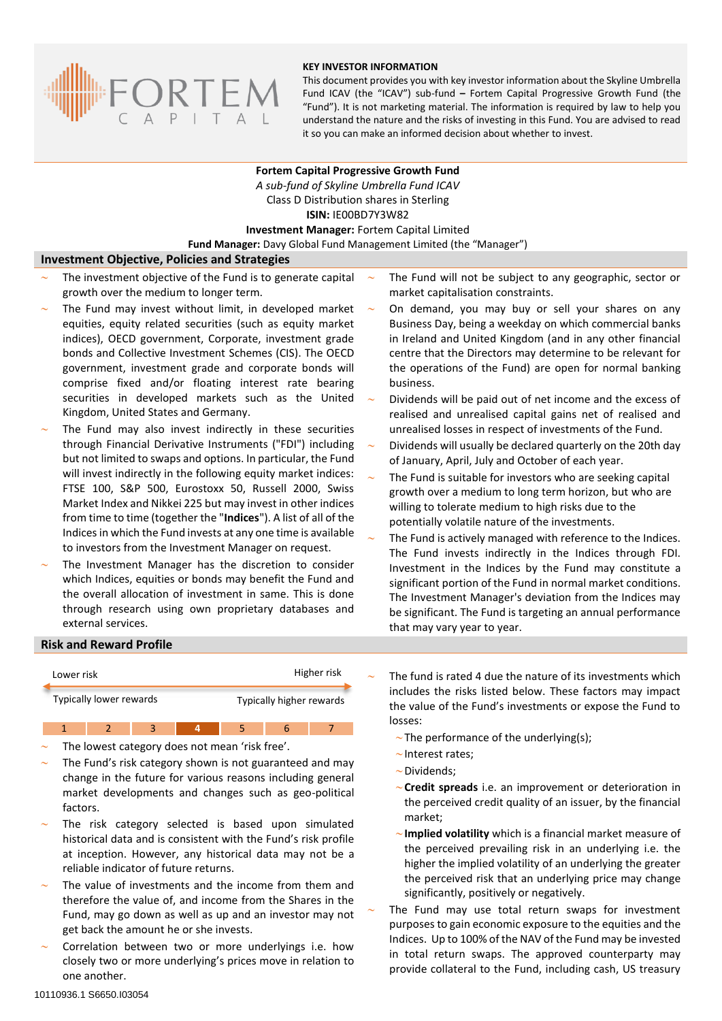

#### **KEY INVESTOR INFORMATION**

This document provides you with key investor information about the Skyline Umbrella Fund ICAV (the "ICAV") sub-fund **–** Fortem Capital Progressive Growth Fund (the "Fund"). It is not marketing material. The information is required by law to help you understand the nature and the risks of investing in this Fund. You are advised to read it so you can make an informed decision about whether to invest.

## **Fortem Capital Progressive Growth Fund** *A sub-fund of Skyline Umbrella Fund ICAV* Class D Distribution shares in Sterling **ISIN:** IE00BD7Y3W82 **Investment Manager:** Fortem Capital Limited **Fund Manager:** Davy Global Fund Management Limited (the "Manager")

## **Investment Objective, Policies and Strategies**

- The investment objective of the Fund is to generate capital growth over the medium to longer term.
- The Fund may invest without limit, in developed market equities, equity related securities (such as equity market indices), OECD government, Corporate, investment grade bonds and Collective Investment Schemes (CIS). The OECD government, investment grade and corporate bonds will comprise fixed and/or floating interest rate bearing securities in developed markets such as the United Kingdom, United States and Germany.
- The Fund may also invest indirectly in these securities through Financial Derivative Instruments ("FDI") including but not limited to swaps and options. In particular, the Fund will invest indirectly in the following equity market indices: FTSE 100, S&P 500, Eurostoxx 50, Russell 2000, Swiss Market Index and Nikkei 225 but may invest in other indices from time to time (together the "**Indices**"). A list of all of the Indices in which the Fund invests at any one time is available to investors from the Investment Manager on request.
- The Investment Manager has the discretion to consider which Indices, equities or bonds may benefit the Fund and the overall allocation of investment in same. This is done through research using own proprietary databases and external services.
- The Fund will not be subject to any geographic, sector or market capitalisation constraints.
- On demand, you may buy or sell your shares on any Business Day, being a weekday on which commercial banks in Ireland and United Kingdom (and in any other financial centre that the Directors may determine to be relevant for the operations of the Fund) are open for normal banking business.
- Dividends will be paid out of net income and the excess of realised and unrealised capital gains net of realised and unrealised losses in respect of investments of the Fund.
- Dividends will usually be declared quarterly on the 20th day of January, April, July and October of each year.
- The Fund is suitable for investors who are seeking capital growth over a medium to long term horizon, but who are willing to tolerate medium to high risks due to the potentially volatile nature of the investments.
- The Fund is actively managed with reference to the Indices. The Fund invests indirectly in the Indices through FDI. Investment in the Indices by the Fund may constitute a significant portion of the Fund in normal market conditions. The Investment Manager's deviation from the Indices may be significant. The Fund is targeting an annual performance that may vary year to year.

## **Risk and Reward Profile**

| Lower risk              | Higher risk              |
|-------------------------|--------------------------|
| Typically lower rewards | Typically higher rewards |

2 3 4 5 6

- The lowest category does not mean 'risk free'.
- The Fund's risk category shown is not guaranteed and may change in the future for various reasons including general market developments and changes such as geo-political factors.
- The risk category selected is based upon simulated historical data and is consistent with the Fund's risk profile at inception. However, any historical data may not be a reliable indicator of future returns.
- The value of investments and the income from them and therefore the value of, and income from the Shares in the Fund, may go down as well as up and an investor may not get back the amount he or she invests.
- Correlation between two or more underlyings i.e. how closely two or more underlying's prices move in relation to one another.

 The fund is rated 4 due the nature of its investments which includes the risks listed below. These factors may impact the value of the Fund's investments or expose the Fund to losses:

- $\sim$ The performance of the underlying(s);
- $\sim$  Interest rates;
- $\sim$  Dividends;
- **Credit spreads** i.e. an improvement or deterioration in the perceived credit quality of an issuer, by the financial market;
- **Implied volatility** which is a financial market measure of the perceived prevailing risk in an underlying i.e. the higher the implied volatility of an underlying the greater the perceived risk that an underlying price may change significantly, positively or negatively.

 The Fund may use total return swaps for investment purposes to gain economic exposure to the equities and the Indices. Up to 100% of the NAV of the Fund may be invested in total return swaps. The approved counterparty may provide collateral to the Fund, including cash, US treasury